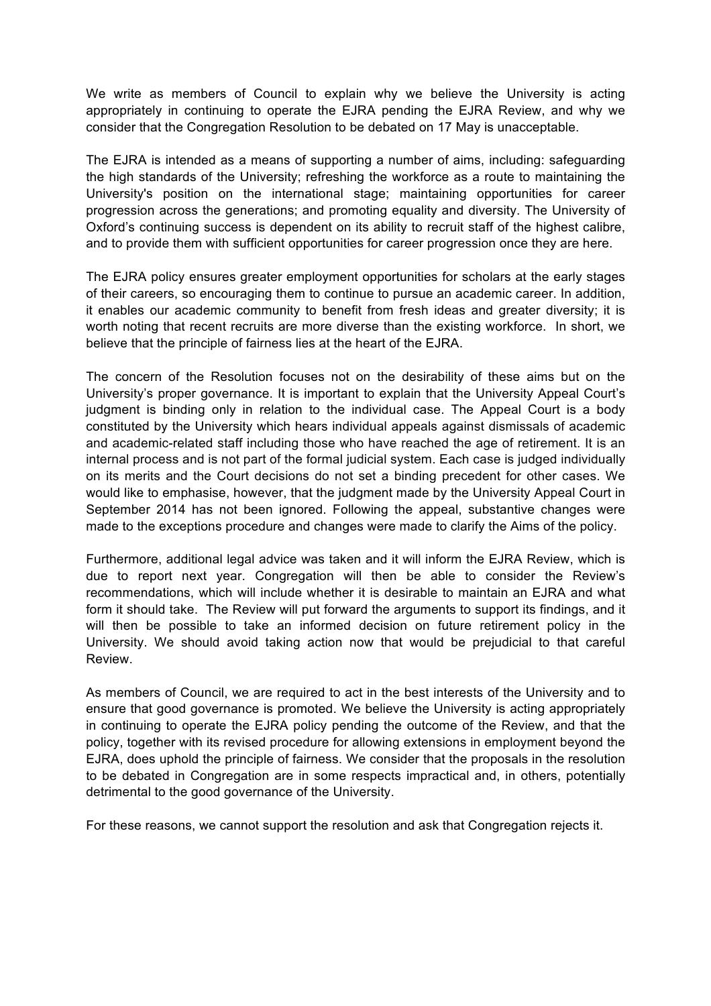We write as members of Council to explain why we believe the University is acting appropriately in continuing to operate the EJRA pending the EJRA Review, and why we consider that the Congregation Resolution to be debated on 17 May is unacceptable.

The EJRA is intended as a means of supporting a number of aims, including: safeguarding the high standards of the University; refreshing the workforce as a route to maintaining the University's position on the international stage; maintaining opportunities for career progression across the generations; and promoting equality and diversity. The University of Oxford's continuing success is dependent on its ability to recruit staff of the highest calibre, and to provide them with sufficient opportunities for career progression once they are here.

The EJRA policy ensures greater employment opportunities for scholars at the early stages of their careers, so encouraging them to continue to pursue an academic career. In addition, it enables our academic community to benefit from fresh ideas and greater diversity; it is worth noting that recent recruits are more diverse than the existing workforce. In short, we believe that the principle of fairness lies at the heart of the EJRA.

The concern of the Resolution focuses not on the desirability of these aims but on the University's proper governance. It is important to explain that the University Appeal Court's judgment is binding only in relation to the individual case. The Appeal Court is a body constituted by the University which hears individual appeals against dismissals of academic and academic-related staff including those who have reached the age of retirement. It is an internal process and is not part of the formal judicial system. Each case is judged individually on its merits and the Court decisions do not set a binding precedent for other cases. We would like to emphasise, however, that the judgment made by the University Appeal Court in September 2014 has not been ignored. Following the appeal, substantive changes were made to the exceptions procedure and changes were made to clarify the Aims of the policy.

Furthermore, additional legal advice was taken and it will inform the EJRA Review, which is due to report next year. Congregation will then be able to consider the Review's recommendations, which will include whether it is desirable to maintain an EJRA and what form it should take. The Review will put forward the arguments to support its findings, and it will then be possible to take an informed decision on future retirement policy in the University. We should avoid taking action now that would be prejudicial to that careful Review.

As members of Council, we are required to act in the best interests of the University and to ensure that good governance is promoted. We believe the University is acting appropriately in continuing to operate the EJRA policy pending the outcome of the Review, and that the policy, together with its revised procedure for allowing extensions in employment beyond the EJRA, does uphold the principle of fairness. We consider that the proposals in the resolution to be debated in Congregation are in some respects impractical and, in others, potentially detrimental to the good governance of the University.

For these reasons, we cannot support the resolution and ask that Congregation rejects it.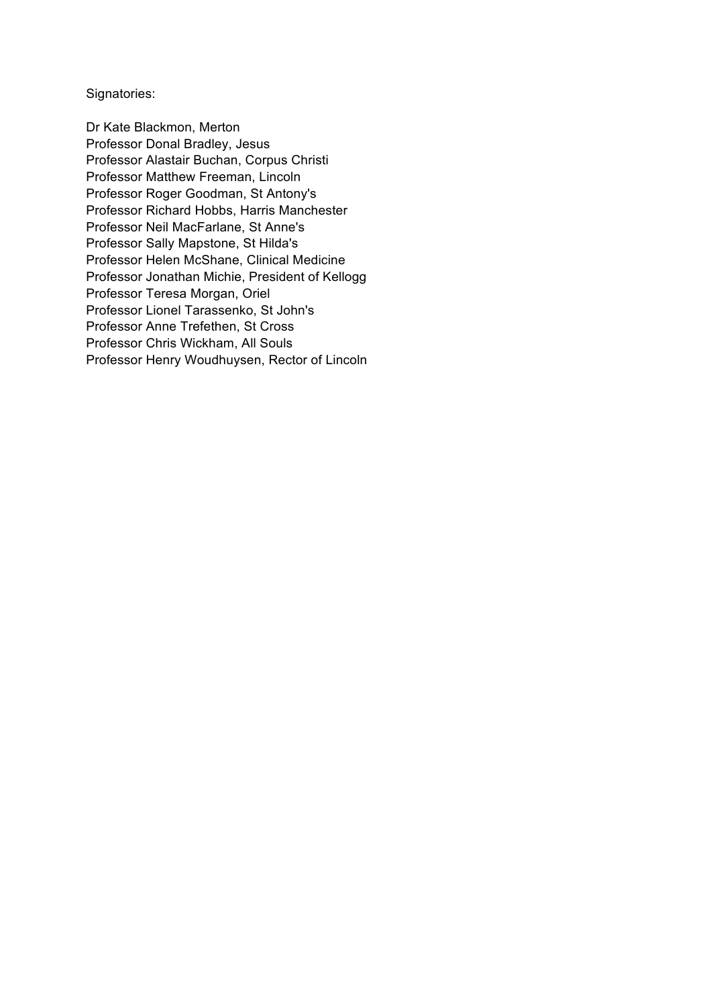Signatories:

Dr Kate Blackmon, Merton Professor Donal Bradley, Jesus Professor Alastair Buchan, Corpus Christi Professor Matthew Freeman, Lincoln Professor Roger Goodman, St Antony's Professor Richard Hobbs, Harris Manchester Professor Neil MacFarlane, St Anne's Professor Sally Mapstone, St Hilda's Professor Helen McShane, Clinical Medicine Professor Jonathan Michie, President of Kellogg Professor Teresa Morgan, Oriel Professor Lionel Tarassenko, St John's Professor Anne Trefethen, St Cross Professor Chris Wickham, All Souls Professor Henry Woudhuysen, Rector of Lincoln